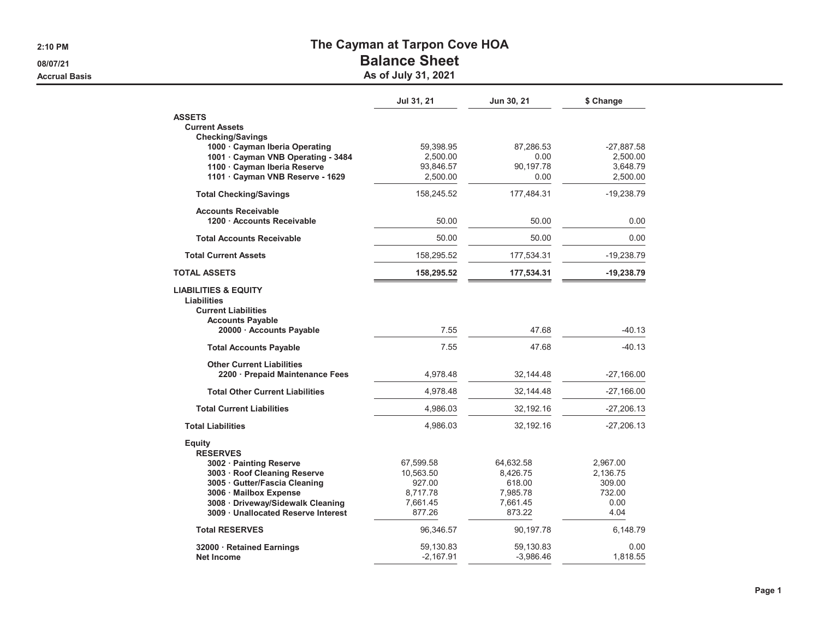**2:10 PM**

**08/07/21**

**Accrual Basis**

## **The Cayman at Tarpon Cove HOA**

## **Balance Sheet**

**As of July 31, 2021**

|                                                                                                                                                                                              | Jul 31, 21                                                         | Jun 30, 21                                                        | \$ Change                                                |
|----------------------------------------------------------------------------------------------------------------------------------------------------------------------------------------------|--------------------------------------------------------------------|-------------------------------------------------------------------|----------------------------------------------------------|
| <b>ASSETS</b><br><b>Current Assets</b>                                                                                                                                                       |                                                                    |                                                                   |                                                          |
| <b>Checking/Savings</b><br>1000 Cayman Iberia Operating<br>1001 · Cayman VNB Operating - 3484<br>1100 · Cayman Iberia Reserve<br>1101 · Cayman VNB Reserve - 1629                            | 59,398.95<br>2,500.00<br>93,846.57<br>2,500.00                     | 87,286.53<br>0.00<br>90,197.78<br>0.00                            | $-27,887.58$<br>2,500.00<br>3,648.79<br>2,500.00         |
| <b>Total Checking/Savings</b>                                                                                                                                                                | 158,245.52                                                         | 177,484.31                                                        | $-19,238.79$                                             |
| <b>Accounts Receivable</b><br>1200 · Accounts Receivable                                                                                                                                     | 50.00                                                              | 50.00                                                             | 0.00                                                     |
| <b>Total Accounts Receivable</b>                                                                                                                                                             | 50.00                                                              | 50.00                                                             | 0.00                                                     |
| <b>Total Current Assets</b>                                                                                                                                                                  | 158,295.52                                                         | 177,534.31                                                        | -19,238.79                                               |
| <b>TOTAL ASSETS</b>                                                                                                                                                                          | 158,295.52                                                         | 177,534.31                                                        | -19,238.79                                               |
| <b>LIABILITIES &amp; EQUITY</b><br><b>Liabilities</b><br><b>Current Liabilities</b><br><b>Accounts Payable</b><br>20000 · Accounts Payable                                                   | 7.55                                                               | 47.68                                                             | $-40.13$                                                 |
| <b>Total Accounts Payable</b>                                                                                                                                                                | 7.55                                                               | 47.68                                                             | $-40.13$                                                 |
| <b>Other Current Liabilities</b><br>2200 · Prepaid Maintenance Fees                                                                                                                          | 4,978.48                                                           | 32,144.48                                                         | -27,166.00                                               |
| <b>Total Other Current Liabilities</b>                                                                                                                                                       | 4,978.48                                                           | 32,144.48                                                         | $-27,166.00$                                             |
| <b>Total Current Liabilities</b>                                                                                                                                                             | 4,986.03                                                           | 32,192.16                                                         | -27,206.13                                               |
| <b>Total Liabilities</b>                                                                                                                                                                     | 4,986.03                                                           | 32,192.16                                                         | $-27,206.13$                                             |
| <b>Equity</b><br><b>RESERVES</b>                                                                                                                                                             |                                                                    |                                                                   |                                                          |
| 3002 · Painting Reserve<br>3003 · Roof Cleaning Reserve<br>3005 · Gutter/Fascia Cleaning<br>3006 Mailbox Expense<br>3008 · Driveway/Sidewalk Cleaning<br>3009 · Unallocated Reserve Interest | 67,599.58<br>10,563.50<br>927.00<br>8,717.78<br>7,661.45<br>877.26 | 64,632.58<br>8,426.75<br>618.00<br>7,985.78<br>7,661.45<br>873.22 | 2,967.00<br>2,136.75<br>309.00<br>732.00<br>0.00<br>4.04 |
| <b>Total RESERVES</b>                                                                                                                                                                        | 96,346.57                                                          | 90,197.78                                                         | 6,148.79                                                 |
| 32000 · Retained Earnings<br><b>Net Income</b>                                                                                                                                               | 59,130.83<br>$-2,167.91$                                           | 59,130.83<br>$-3,986.46$                                          | 0.00<br>1,818.55                                         |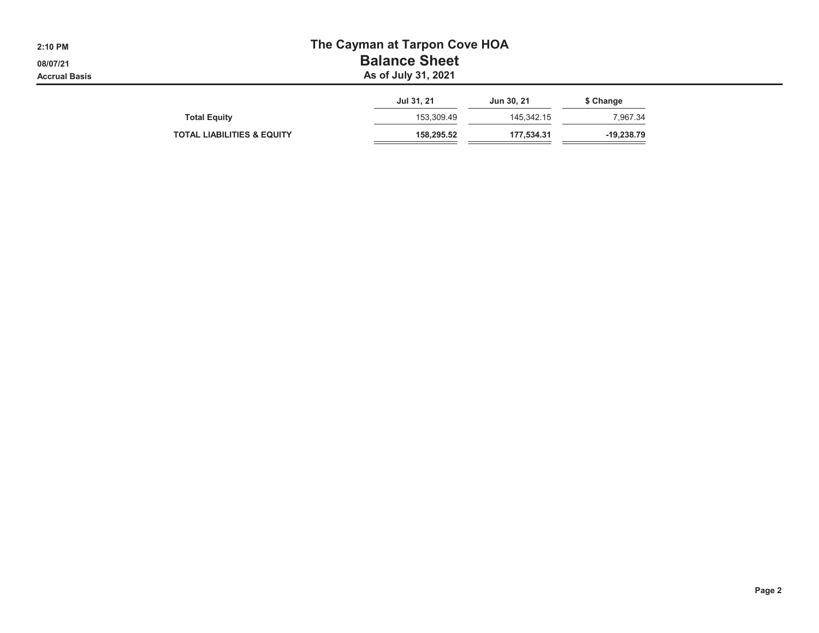| 2:10 PM<br>08/07/21<br><b>Accrual Basis</b> | The Cayman at Tarpon Cove HOA<br><b>Balance Sheet</b><br>As of July 31, 2021 |            |            |              |  |  |  |  |  |
|---------------------------------------------|------------------------------------------------------------------------------|------------|------------|--------------|--|--|--|--|--|
|                                             |                                                                              | Jul 31, 21 | Jun 30, 21 | \$ Change    |  |  |  |  |  |
|                                             | <b>Total Equity</b>                                                          | 153.309.49 | 145.342.15 | 7,967.34     |  |  |  |  |  |
|                                             | <b>TOTAL LIABILITIES &amp; EQUITY</b>                                        | 158,295.52 | 177,534.31 | $-19,238.79$ |  |  |  |  |  |